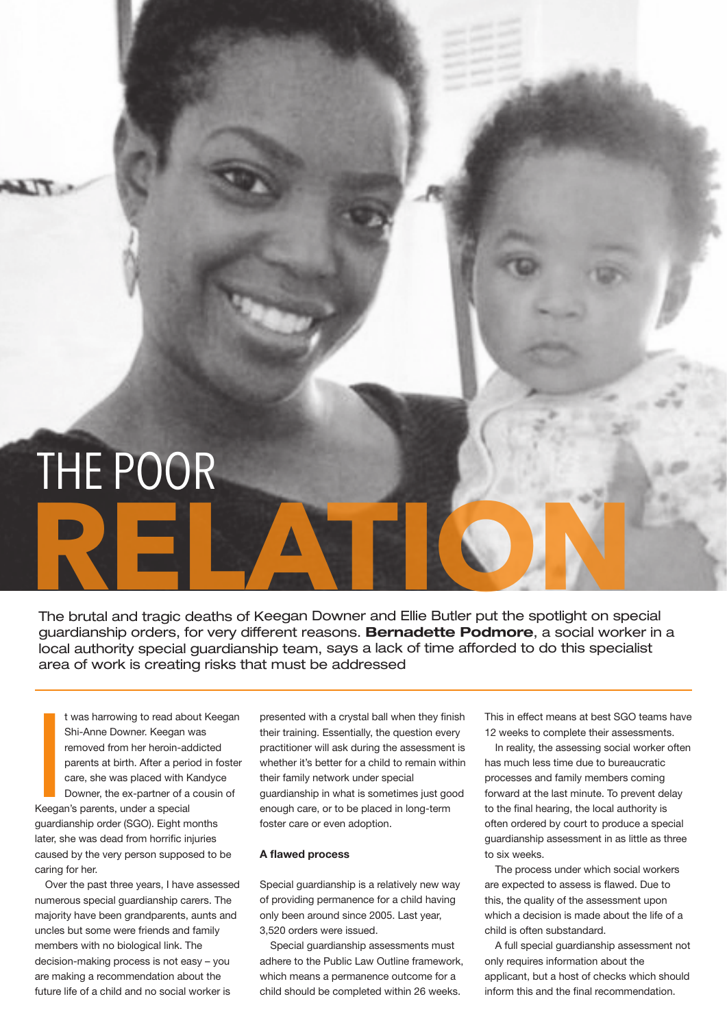# The brutal and tragic deaths of Keegan Downer and Ellie Butler put the spotlight on special THE POOR

guardianship orders, for very different reasons. **Bernadette Podmore**, a social worker in a local authority special guardianship team, says a lack of time afforded to do this specialist area of work is creating risks that must be addressed

**ISBN**<br>International<br>International t was harrowing to read about Keegan Shi-Anne Downer. Keegan was removed from her heroin-addicted parents at birth. After a period in foster care, she was placed with Kandyce Downer, the ex-partner of a cousin of Keegan's parents, under a special guardianship order (SGO). Eight months later, she was dead from horrific injuries

caused by the very person supposed to be caring for her.

Over the past three years, I have assessed numerous special guardianship carers. The majority have been grandparents, aunts and uncles but some were friends and family members with no biological link. The decision-making process is not easy – you are making a recommendation about the future life of a child and no social worker is

presented with a crystal ball when they finish their training. Essentially, the question every practitioner will ask during the assessment is whether it's better for a child to remain within their family network under special guardianship in what is sometimes just good enough care, or to be placed in long-term foster care or even adoption.

## **A flawed process**

Special guardianship is a relatively new way of providing permanence for a child having only been around since 2005. Last year, 3,520 orders were issued.

Special guardianship assessments must adhere to the Public Law Outline framework, which means a permanence outcome for a child should be completed within 26 weeks.

This in effect means at best SGO teams have 12 weeks to complete their assessments.

In reality, the assessing social worker often has much less time due to bureaucratic processes and family members coming forward at the last minute. To prevent delay to the final hearing, the local authority is often ordered by court to produce a special guardianship assessment in as little as three to six weeks.

The process under which social workers are expected to assess is flawed. Due to this, the quality of the assessment upon which a decision is made about the life of a child is often substandard.

A full special guardianship assessment not only requires information about the applicant, but a host of checks which should inform this and the final recommendation.